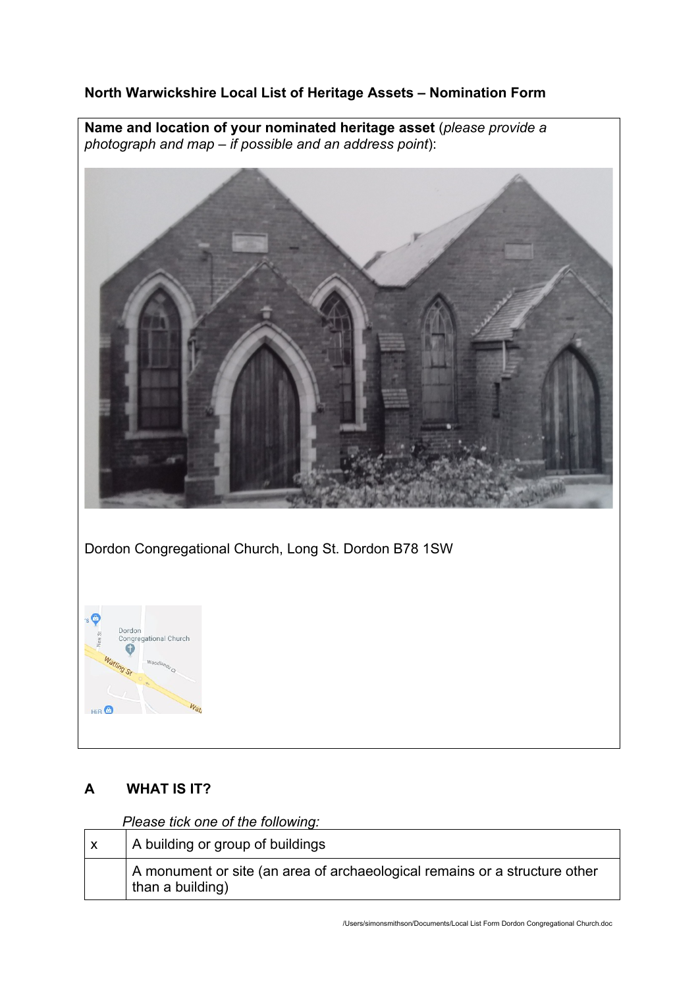## **North Warwickshire Local List of Heritage Assets – Nomination Form**

**Name and location of your nominated heritage asset** (*please provide a photograph and map – if possible and an address point*):





# **A WHAT IS IT?**

*Please tick one of the following:*

| A building or group of buildings                                                               |  |
|------------------------------------------------------------------------------------------------|--|
| A monument or site (an area of archaeological remains or a structure other<br>than a building) |  |

/Users/simonsmithson/Documents/Local List Form Dordon Congregational Church.doc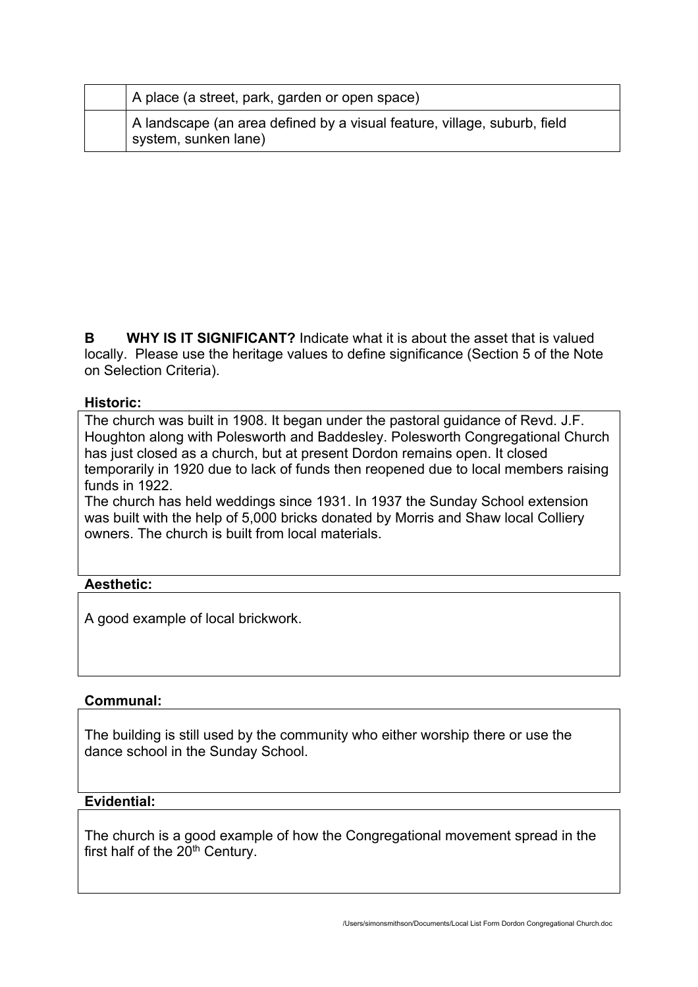| A place (a street, park, garden or open space)                                                   |
|--------------------------------------------------------------------------------------------------|
| A landscape (an area defined by a visual feature, village, suburb, field<br>system, sunken lane) |

**B WHY IS IT SIGNIFICANT?** Indicate what it is about the asset that is valued locally. Please use the heritage values to define significance (Section 5 of the Note on Selection Criteria).

### **Historic:**

The church was built in 1908. It began under the pastoral guidance of Revd. J.F. Houghton along with Polesworth and Baddesley. Polesworth Congregational Church has just closed as a church, but at present Dordon remains open. It closed temporarily in 1920 due to lack of funds then reopened due to local members raising funds in 1922.

The church has held weddings since 1931. In 1937 the Sunday School extension was built with the help of 5,000 bricks donated by Morris and Shaw local Colliery owners. The church is built from local materials.

### **Aesthetic:**

A good example of local brickwork.

### **Communal:**

The building is still used by the community who either worship there or use the dance school in the Sunday School.

#### **Evidential:**

The church is a good example of how the Congregational movement spread in the first half of the  $20<sup>th</sup>$  Century.